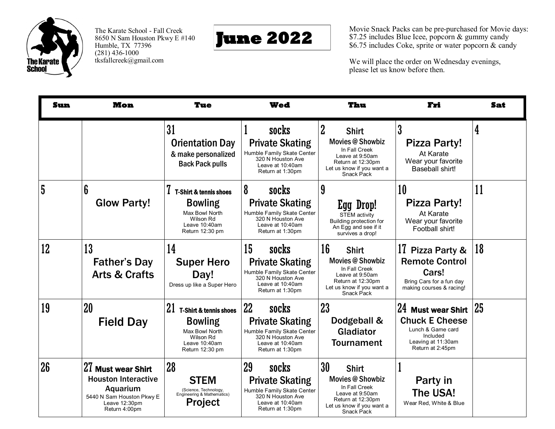

The Karate School - Fall Creek 8650 N Sam Houston Pkwy E #140 Humble, TX 77396  $(281)$  436-1000 tksfallcreek@gmail.com



Movie Snack Packs can be pre-purchased for Movie days: \$7.25 includes Blue Icee, popcorn & gummy candy \$6.75 includes Coke, sprite or water popcorn & candy

We will place the order on Wednesday evenings, please let us know before then.

| Sun            | <b>Mon</b>                                                                                                                  | <b>Tue</b>                                                                                                                   | <b>Wed</b>                                                                                                                       | Thu                                                                                                                                                           | Fri                                                                                                                    | <b>Sat</b> |
|----------------|-----------------------------------------------------------------------------------------------------------------------------|------------------------------------------------------------------------------------------------------------------------------|----------------------------------------------------------------------------------------------------------------------------------|---------------------------------------------------------------------------------------------------------------------------------------------------------------|------------------------------------------------------------------------------------------------------------------------|------------|
|                |                                                                                                                             | 31<br><b>Orientation Day</b><br>& make personalized<br><b>Back Pack pulls</b>                                                | socks<br><b>Private Skating</b><br>Humble Family Skate Center<br>320 N Houston Ave<br>Leave at 10:40am<br>Return at 1:30pm       | $\overline{2}$<br><b>Shirt</b><br><b>Movies @ Showbiz</b><br>In Fall Creek<br>Leave at 9:50am<br>Return at 12:30pm<br>Let us know if you want a<br>Snack Pack | 3<br><b>Pizza Party!</b><br>At Karate<br>Wear your favorite<br>Baseball shirt!                                         | 4          |
| $5\phantom{a}$ | 6<br><b>Glow Party!</b>                                                                                                     | <b>T-Shirt &amp; tennis shoes</b><br><b>Bowling</b><br>Max Bowl North<br>Wilson Rd<br>Leave 10:40am<br>Return 12:30 pm       | 8<br>socks<br><b>Private Skating</b><br>Humble Family Skate Center<br>320 N Houston Ave<br>Leave at 10:40am<br>Return at 1:30pm  | 9<br>Egg Drop!<br><b>STEM activity</b><br>Building protection for<br>An Egg and see if it<br>survives a drop!                                                 | 10<br><b>Pizza Party!</b><br>At Karate<br>Wear your favorite<br>Football shirt!                                        | 11         |
| 12             | 13<br><b>Father's Day</b><br><b>Arts &amp; Crafts</b>                                                                       | 14<br><b>Super Hero</b><br>Day!<br>Dress up like a Super Hero                                                                | 15<br>socks<br><b>Private Skating</b><br>Humble Family Skate Center<br>320 N Houston Ave<br>Leave at 10:40am<br>Return at 1:30pm | 16<br><b>Shirt</b><br><b>Movies @ Showbiz</b><br>In Fall Creek<br>Leave at 9:50am<br>Return at 12:30pm<br>Let us know if you want a<br><b>Snack Pack</b>      | 17 Pizza Party &<br><b>Remote Control</b><br>Cars!<br>Bring Cars for a fun day<br>making courses & racing!             | 18         |
| 19             | 20<br><b>Field Day</b>                                                                                                      | 21<br><b>T-Shirt &amp; tennis shoes</b><br><b>Bowling</b><br>Max Bowl North<br>Wilson Rd<br>Leave 10:40am<br>Return 12:30 pm | 22<br>socks<br><b>Private Skating</b><br>Humble Family Skate Center<br>320 N Houston Ave<br>Leave at 10:40am<br>Return at 1:30pm | 23<br>Dodgeball &<br>Gladiator<br><b>Tournament</b>                                                                                                           | 24 Must wear Shirt<br><b>Chuck E Cheese</b><br>Lunch & Game card<br>Included<br>Leaving at 11:30am<br>Return at 2:45pm | 25         |
| 26             | 27 Must wear Shirt<br><b>Houston Interactive</b><br>Aquarium<br>5440 N Sam Houston Pkwy E<br>Leave 12:30pm<br>Return 4:00pm | 28<br><b>STEM</b><br>(Science, Technology,<br>Engineering & Mathematics)<br><b>Project</b>                                   | 29<br>socks<br><b>Private Skating</b><br>Humble Family Skate Center<br>320 N Houston Ave<br>Leave at 10:40am<br>Return at 1:30pm | 30<br><b>Shirt</b><br><b>Movies @ Showbiz</b><br>In Fall Creek<br>Leave at 9:50am<br>Return at 12:30pm<br>Let us know if you want a<br>Snack Pack             | Party in<br>The USA!<br>Wear Red, White & Blue                                                                         |            |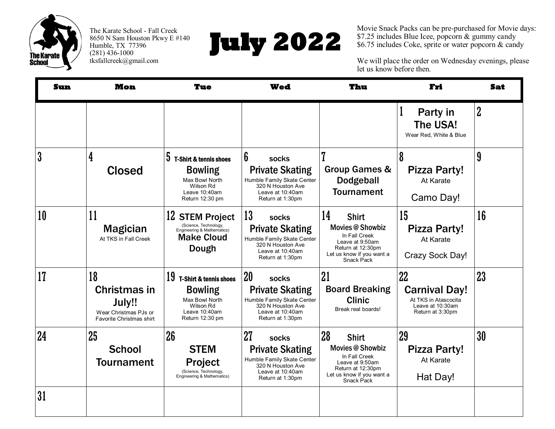

The Karate School - Fall Creek 8650 N Sam Houston Pkwy E #140 Humble, TX 77396  $(281)$  436-1000 tksfallcreek@gmail.com



Movie Snack Packs can be pre-purchased for Movie days: \$7.25 includes Blue Icee, popcorn & gummy candy \$6.75 includes Coke, sprite or water popcorn & candy

We will place the order on Wednesday evenings, please let us know before then.

| Sun              | <b>Mon</b>                                                                                      | Tue                                                                                                                         | <b>Wed</b>                                                                                                                             | Thu                                                                                                                                               | Fri                                                                                        | <b>Sat</b>     |
|------------------|-------------------------------------------------------------------------------------------------|-----------------------------------------------------------------------------------------------------------------------------|----------------------------------------------------------------------------------------------------------------------------------------|---------------------------------------------------------------------------------------------------------------------------------------------------|--------------------------------------------------------------------------------------------|----------------|
|                  |                                                                                                 |                                                                                                                             |                                                                                                                                        |                                                                                                                                                   | Party in<br>The USA!<br>Wear Red, White & Blue                                             | $\overline{2}$ |
| $\boldsymbol{3}$ | 4<br><b>Closed</b>                                                                              | 5<br><b>T-Shirt &amp; tennis shoes</b><br><b>Bowling</b><br>Max Bowl North<br>Wilson Rd<br>Leave 10:40am<br>Return 12:30 pm | 6<br><b>socks</b><br><b>Private Skating</b><br>Humble Family Skate Center<br>320 N Houston Ave<br>Leave at 10:40am<br>Return at 1:30pm | 7<br><b>Group Games &amp;</b><br><b>Dodgeball</b><br><b>Tournament</b>                                                                            | $\boldsymbol{8}$<br><b>Pizza Party!</b><br>At Karate<br>Camo Day!                          | 9              |
| 10               | 11<br><b>Magician</b><br>At TKS in Fall Creek                                                   | 12 STEM Project<br>(Science, Technology,<br>Engineering & Mathematics)<br><b>Make Cloud</b><br>Dough                        | 13<br>socks<br><b>Private Skating</b><br>Humble Family Skate Center<br>320 N Houston Ave<br>Leave at 10:40am<br>Return at 1:30pm       | 14<br><b>Shirt</b><br><b>Movies @ Showbiz</b><br>In Fall Creek<br>Leave at 9:50am<br>Return at 12:30pm<br>Let us know if you want a<br>Snack Pack | 15<br><b>Pizza Party!</b><br>At Karate<br>Crazy Sock Day!                                  | 16             |
| 17               | 18<br><b>Christmas in</b><br>July!!<br>Wear Christmas PJs or<br><b>Favorite Christmas shirt</b> | 19<br>T-Shirt & tennis shoes<br><b>Bowling</b><br>Max Bowl North<br>Wilson Rd<br>Leave 10:40am<br>Return 12:30 pm           | 20<br>socks<br><b>Private Skating</b><br>Humble Family Skate Center<br>320 N Houston Ave<br>Leave at 10:40am<br>Return at 1:30pm       | 21<br><b>Board Breaking</b><br><b>Clinic</b><br>Break real boards!                                                                                | 22<br><b>Carnival Day!</b><br>At TKS in Atascocita<br>Leave at 10:30am<br>Return at 3:30pm | 23             |
| 24               | 25<br><b>School</b><br><b>Tournament</b>                                                        | 26<br><b>STEM</b><br><b>Project</b><br>(Science, Technology,<br>Engineering & Mathematics)                                  | 27<br>socks<br><b>Private Skating</b><br>Humble Family Skate Center<br>320 N Houston Ave<br>Leave at 10:40am<br>Return at 1:30pm       | 28<br><b>Shirt</b><br><b>Movies @ Showbiz</b><br>In Fall Creek<br>Leave at 9:50am<br>Return at 12:30pm<br>Let us know if you want a<br>Snack Pack | 29<br><b>Pizza Party!</b><br>At Karate<br>Hat Day!                                         | 30             |
| 31               |                                                                                                 |                                                                                                                             |                                                                                                                                        |                                                                                                                                                   |                                                                                            |                |